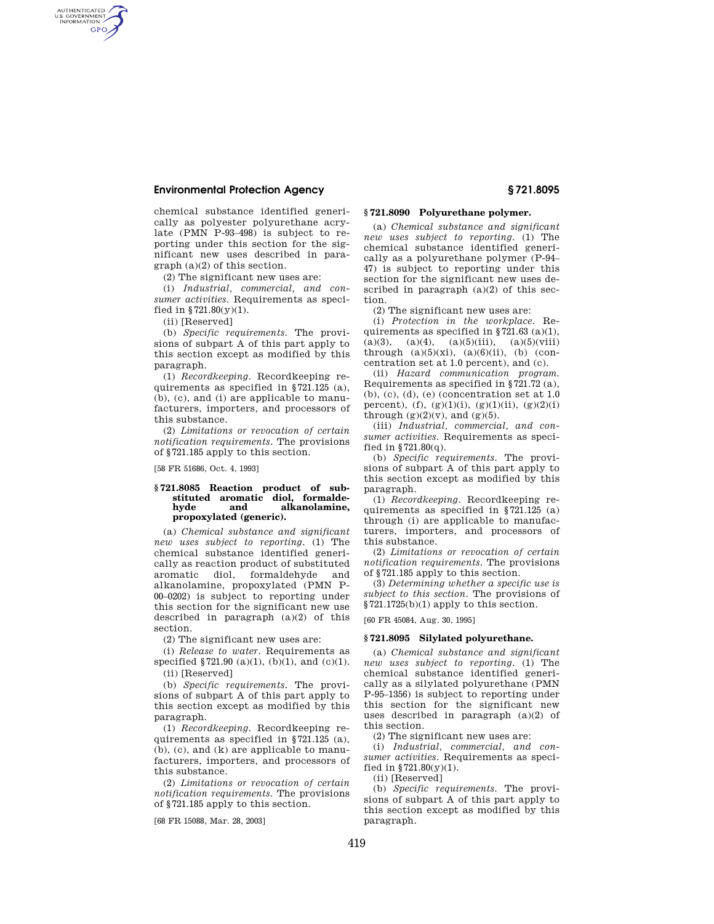# **Environmental Protection Agency § 721.8095**

chemical substance identified generically as polyester polyurethane acrylate (PMN P-93–498) is subject to reporting under this section for the significant new uses described in paragraph (a)(2) of this section.

(2) The significant new uses are:

(i) *Industrial, commercial, and consumer activities.* Requirements as specified in  $$721.80(y)(1)$ .

(ii) [Reserved]

AUTHENTICATED<br>U.S. GOVERNMENT<br>INFORMATION **GPO** 

> (b) *Specific requirements.* The provisions of subpart A of this part apply to this section except as modified by this paragraph.

> (1) *Recordkeeping.* Recordkeeping requirements as specified in §721.125 (a), (b), (c), and (i) are applicable to manufacturers, importers, and processors of this substance.

> (2) *Limitations or revocation of certain notification requirements.* The provisions of §721.185 apply to this section.

[58 FR 51686, Oct. 4, 1993]

### **§ 721.8085 Reaction product of substituted aromatic diol, formalde**alkanolamine, **propoxylated (generic).**

(a) *Chemical substance and significant new uses subject to reporting.* (1) The chemical substance identified generically as reaction product of substituted aromatic diol, formaldehyde and alkanolamine, propoxylated (PMN P-00–0202) is subject to reporting under this section for the significant new use described in paragraph (a)(2) of this section.

(2) The significant new uses are:

(i) *Release to water.* Requirements as specified  $$721.90\ (a)(1),\ (b)(1),\ and\ (c)(1).$ 

(ii) [Reserved]

(b) *Specific requirements.* The provisions of subpart A of this part apply to this section except as modified by this paragraph.

(1) *Recordkeeping.* Recordkeeping requirements as specified in §721.125 (a), (b), (c), and (k) are applicable to manufacturers, importers, and processors of this substance.

(2) *Limitations or revocation of certain notification requirements.* The provisions of §721.185 apply to this section.

[68 FR 15088, Mar. 28, 2003]

# **§ 721.8090 Polyurethane polymer.**

(a) *Chemical substance and significant new uses subject to reporting.* (1) The chemical substance identified generically as a polyurethane polymer (P-94– 47) is subject to reporting under this section for the significant new uses described in paragraph (a)(2) of this section.

(2) The significant new uses are:

(i) *Protection in the workplace.* Requirements as specified in  $\S 721.63$  (a)(1),  $(a)(3)$ ,  $(a)(4)$ ,  $(a)(5)(iii)$ ,  $(a)(5)(viii)$ through  $(a)(5)(xi)$ ,  $(a)(6)(ii)$ ,  $(b)$  (concentration set at 1.0 percent), and (c).

(ii) *Hazard communication program.*  Requirements as specified in §721.72 (a), (b), (c), (d), (e) (concentration set at 1.0 percent), (f), (g)(1)(i), (g)(1)(ii), (g)(2)(i) through  $(g)(2)(v)$ , and  $(g)(5)$ .

(iii) *Industrial, commercial, and consumer activities.* Requirements as specified in  $$721.80(q)$ .

(b) *Specific requirements.* The provisions of subpart A of this part apply to this section except as modified by this paragraph.

(1) *Recordkeeping.* Recordkeeping requirements as specified in §721.125 (a) through (i) are applicable to manufacturers, importers, and processors of this substance.

(2) *Limitations or revocation of certain notification requirements.* The provisions of §721.185 apply to this section.

(3) *Determining whether a specific use is subject to this section.* The provisions of §721.1725(b)(1) apply to this section.

[60 FR 45084, Aug. 30, 1995]

## **§ 721.8095 Silylated polyurethane.**

(a) *Chemical substance and significant new uses subject to reporting.* (1) The chemical substance identified generically as a silylated polyurethane (PMN P-95–1356) is subject to reporting under this section for the significant new uses described in paragraph (a)(2) of this section.

(2) The significant new uses are:

(i) *Industrial, commercial, and consumer activities.* Requirements as specified in  $8721.80(y)(1)$ .

(ii) [Reserved]

(b) *Specific requirements.* The provisions of subpart A of this part apply to this section except as modified by this paragraph.

419